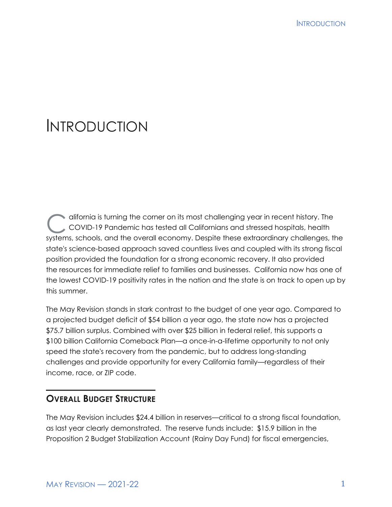# INTRODUCTION

difornia is turning the corner on its most challenging year in recent history. The<br>COVID-19 Pandemic has tested all Californians and stressed hospitals, health COVID-19 Pandemic has tested all Californians and stressed hospitals, health systems, schools, and the overall economy. Despite these extraordinary challenges, the state's science-based approach saved countless lives and coupled with its strong fiscal position provided the foundation for a strong economic recovery. It also provided the resources for immediate relief to families and businesses. California now has one of the lowest COVID-19 positivity rates in the nation and the state is on track to open up by this summer.

The May Revision stands in stark contrast to the budget of one year ago. Compared to a projected budget deficit of \$54 billion a year ago, the state now has a projected \$75.7 billion surplus. Combined with over \$25 billion in federal relief, this supports a \$100 billion California Comeback Plan—a once-in-a-lifetime opportunity to not only speed the state's recovery from the pandemic, but to address long-standing challenges and provide opportunity for every California family—regardless of their income, race, or ZIP code.

# **OVERALL BUDGET STRUCTURE**

The May Revision includes \$24.4 billion in reserves—critical to a strong fiscal foundation, as last year clearly demonstrated. The reserve funds include: \$15.9 billion in the Proposition 2 Budget Stabilization Account (Rainy Day Fund) for fiscal emergencies,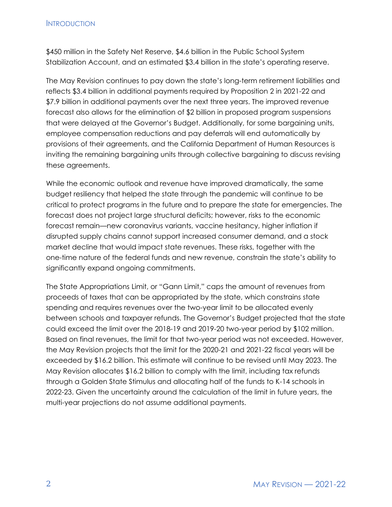#### **INTRODUCTION**

\$450 million in the Safety Net Reserve, \$4.6 billion in the Public School System Stabilization Account, and an estimated \$3.4 billion in the state's operating reserve.

The May Revision continues to pay down the state's long-term retirement liabilities and reflects \$3.4 billion in additional payments required by Proposition 2 in 2021-22 and \$7.9 billion in additional payments over the next three years. The improved revenue forecast also allows for the elimination of \$2 billion in proposed program suspensions that were delayed at the Governor's Budget. Additionally, for some bargaining units, employee compensation reductions and pay deferrals will end automatically by provisions of their agreements, and the California Department of Human Resources is inviting the remaining bargaining units through collective bargaining to discuss revising these agreements.

While the economic outlook and revenue have improved dramatically, the same budget resiliency that helped the state through the pandemic will continue to be critical to protect programs in the future and to prepare the state for emergencies. The forecast does not project large structural deficits; however, risks to the economic forecast remain—new coronavirus variants, vaccine hesitancy, higher inflation if disrupted supply chains cannot support increased consumer demand, and a stock market decline that would impact state revenues. These risks, together with the one-time nature of the federal funds and new revenue, constrain the state's ability to significantly expand ongoing commitments.

The State Appropriations Limit, or "Gann Limit," caps the amount of revenues from proceeds of taxes that can be appropriated by the state, which constrains state spending and requires revenues over the two-year limit to be allocated evenly between schools and taxpayer refunds. The Governor's Budget projected that the state could exceed the limit over the 2018-19 and 2019-20 two-year period by \$102 million. Based on final revenues, the limit for that two-year period was not exceeded. However, the May Revision projects that the limit for the 2020-21 and 2021-22 fiscal years will be exceeded by \$16.2 billion. This estimate will continue to be revised until May 2023. The May Revision allocates \$16.2 billion to comply with the limit, including tax refunds through a Golden State Stimulus and allocating half of the funds to K-14 schools in 2022-23. Given the uncertainty around the calculation of the limit in future years, the multi-year projections do not assume additional payments.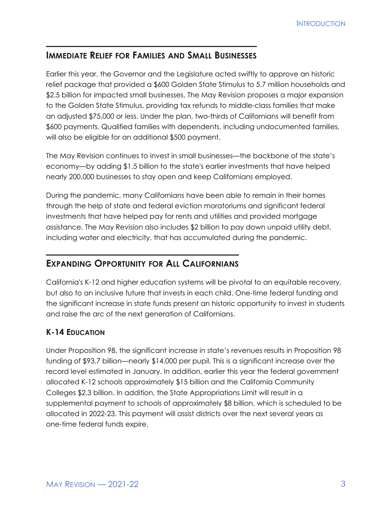# **IMMEDIATE RELIEF FOR FAMILIES AND SMALL BUSINESSES**

Earlier this year, the Governor and the Legislature acted swiftly to approve an historic relief package that provided a \$600 Golden State Stimulus to 5.7 million households and \$2.5 billion for impacted small businesses. The May Revision proposes a major expansion to the Golden State Stimulus, providing tax refunds to middle-class families that make an adjusted \$75,000 or less. Under the plan, two-thirds of Californians will benefit from \$600 payments. Qualified families with dependents, including undocumented families, will also be eligible for an additional \$500 payment.

The May Revision continues to invest in small businesses—the backbone of the state's economy—by adding \$1.5 billion to the state's earlier investments that have helped nearly 200,000 businesses to stay open and keep Californians employed.

During the pandemic, many Californians have been able to remain in their homes through the help of state and federal eviction moratoriums and significant federal investments that have helped pay for rents and utilities and provided mortgage assistance. The May Revision also includes \$2 billion to pay down unpaid utility debt, including water and electricity, that has accumulated during the pandemic.

# **EXPANDING OPPORTUNITY FOR ALL CALIFORNIANS**

California's K-12 and higher education systems will be pivotal to an equitable recovery, but also to an inclusive future that invests in each child. One-time federal funding and the significant increase in state funds present an historic opportunity to invest in students and raise the arc of the next generation of Californians.

## **K-14 EDUCATION**

Under Proposition 98, the significant increase in state's revenues results in Proposition 98 funding of \$93.7 billion—nearly \$14,000 per pupil. This is a significant increase over the record level estimated in January. In addition, earlier this year the federal government allocated K-12 schools approximately \$15 billion and the California Community Colleges \$2.3 billion. In addition, the State Appropriations Limit will result in a supplemental payment to schools of approximately \$8 billion, which is scheduled to be allocated in 2022-23. This payment will assist districts over the next several years as one-time federal funds expire.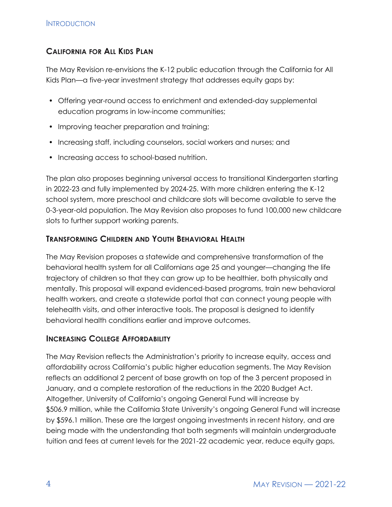#### **CALIFORNIA FOR ALL KIDS PLAN**

The May Revision re-envisions the K-12 public education through the California for All Kids Plan—a five-year investment strategy that addresses equity gaps by:

- Offering year-round access to enrichment and extended-day supplemental education programs in low-income communities;
- Improving teacher preparation and training;
- Increasing staff, including counselors, social workers and nurses; and
- Increasing access to school-based nutrition.

The plan also proposes beginning universal access to transitional Kindergarten starting in 2022-23 and fully implemented by 2024-25. With more children entering the K-12 school system, more preschool and childcare slots will become available to serve the 0-3-year-old population. The May Revision also proposes to fund 100,000 new childcare slots to further support working parents.

#### **TRANSFORMING CHILDREN AND YOUTH BEHAVIORAL HEALTH**

The May Revision proposes a statewide and comprehensive transformation of the behavioral health system for all Californians age 25 and younger—changing the life trajectory of children so that they can grow up to be healthier, both physically and mentally. This proposal will expand evidenced-based programs, train new behavioral health workers, and create a statewide portal that can connect young people with telehealth visits, and other interactive tools. The proposal is designed to identify behavioral health conditions earlier and improve outcomes.

#### **INCREASING COLLEGE AFFORDABILITY**

The May Revision reflects the Administration's priority to increase equity, access and affordability across California's public higher education segments. The May Revision reflects an additional 2 percent of base growth on top of the 3 percent proposed in January, and a complete restoration of the reductions in the 2020 Budget Act. Altogether, University of California's ongoing General Fund will increase by \$506.9 million, while the California State University's ongoing General Fund will increase by \$596.1 million. These are the largest ongoing investments in recent history, and are being made with the understanding that both segments will maintain undergraduate tuition and fees at current levels for the 2021-22 academic year, reduce equity gaps,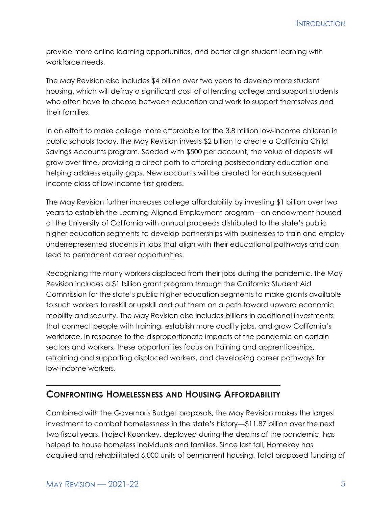**INTRODUCTION** 

provide more online learning opportunities, and better align student learning with workforce needs.

The May Revision also includes \$4 billion over two years to develop more student housing, which will defray a significant cost of attending college and support students who often have to choose between education and work to support themselves and their families.

In an effort to make college more affordable for the 3.8 million low-income children in public schools today, the May Revision invests \$2 billion to create a California Child Savings Accounts program. Seeded with \$500 per account, the value of deposits will grow over time, providing a direct path to affording postsecondary education and helping address equity gaps. New accounts will be created for each subsequent income class of low-income first graders.

The May Revision further increases college affordability by investing \$1 billion over two years to establish the Learning-Aligned Employment program—an endowment housed at the University of California with annual proceeds distributed to the state's public higher education segments to develop partnerships with businesses to train and employ underrepresented students in jobs that align with their educational pathways and can lead to permanent career opportunities.

Recognizing the many workers displaced from their jobs during the pandemic, the May Revision includes a \$1 billion grant program through the California Student Aid Commission for the state's public higher education segments to make grants available to such workers to reskill or upskill and put them on a path toward upward economic mobility and security. The May Revision also includes billions in additional investments that connect people with training, establish more quality jobs, and grow California's workforce. In response to the disproportionate impacts of the pandemic on certain sectors and workers, these opportunities focus on training and apprenticeships, retraining and supporting displaced workers, and developing career pathways for low-income workers.

## **CONFRONTING HOMELESSNESS AND HOUSING AFFORDABILITY**

Combined with the Governor's Budget proposals, the May Revision makes the largest investment to combat homelessness in the state's history—\$11.87 billion over the next two fiscal years. Project Roomkey, deployed during the depths of the pandemic, has helped to house homeless individuals and families. Since last fall, Homekey has acquired and rehabilitated 6,000 units of permanent housing. Total proposed funding of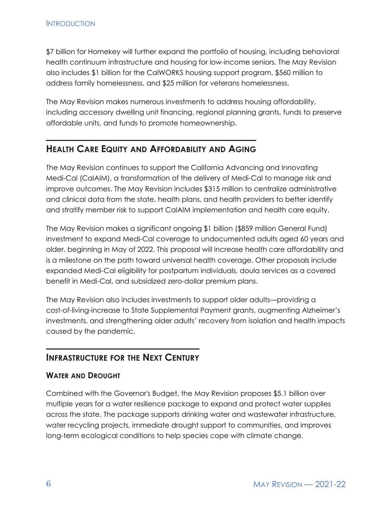\$7 billion for Homekey will further expand the portfolio of housing, including behavioral health continuum infrastructure and housing for low-income seniors. The May Revision also includes \$1 billion for the CalWORKS housing support program, \$560 million to address family homelessness, and \$25 million for veterans homelessness.

The May Revision makes numerous investments to address housing affordability, including accessory dwelling unit financing, regional planning grants, funds to preserve affordable units, and funds to promote homeownership.

## **HEALTH CARE EQUITY AND AFFORDABILITY AND AGING**

The May Revision continues to support the California Advancing and Innovating Medi-Cal (CalAIM), a transformation of the delivery of Medi-Cal to manage risk and improve outcomes. The May Revision includes \$315 million to centralize administrative and clinical data from the state, health plans, and health providers to better identify and stratify member risk to support CalAIM implementation and health care equity.

The May Revision makes a significant ongoing \$1 billion (\$859 million General Fund) investment to expand Medi-Cal coverage to undocumented adults aged 60 years and older, beginning in May of 2022. This proposal will increase health care affordability and is a milestone on the path toward universal health coverage. Other proposals include expanded Medi-Cal eligibility for postpartum individuals, doula services as a covered benefit in Medi-Cal, and subsidized zero-dollar premium plans.

The May Revision also includes investments to support older adults—providing a cost-of-living-increase to State Supplemental Payment grants, augmenting Alzheimer's investments, and strengthening older adults' recovery from isolation and health impacts caused by the pandemic.

## **INFRASTRUCTURE FOR THE NEXT CENTURY**

#### **WATER AND DROUGHT**

Combined with the Governor's Budget, the May Revision proposes \$5.1 billion over multiple years for a water resilience package to expand and protect water supplies across the state. The package supports drinking water and wastewater infrastructure, water recycling projects, immediate drought support to communities, and improves long-term ecological conditions to help species cope with climate change.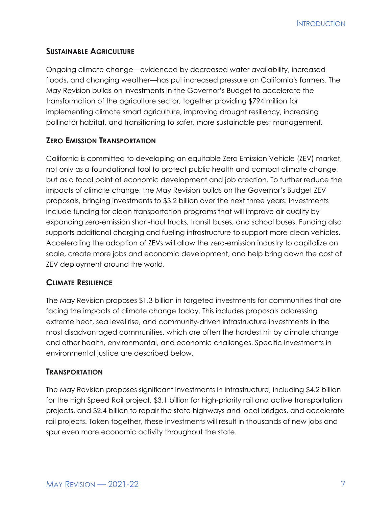## **SUSTAINABLE AGRICULTURE**

Ongoing climate change—evidenced by decreased water availability, increased floods, and changing weather—has put increased pressure on California's farmers. The May Revision builds on investments in the Governor's Budget to accelerate the transformation of the agriculture sector, together providing \$794 million for implementing climate smart agriculture, improving drought resiliency, increasing pollinator habitat, and transitioning to safer, more sustainable pest management.

## **ZERO EMISSION TRANSPORTATION**

California is committed to developing an equitable Zero Emission Vehicle (ZEV) market, not only as a foundational tool to protect public health and combat climate change, but as a focal point of economic development and job creation. To further reduce the impacts of climate change, the May Revision builds on the Governor's Budget ZEV proposals, bringing investments to \$3.2 billion over the next three years. Investments include funding for clean transportation programs that will improve air quality by expanding zero-emission short-haul trucks, transit buses, and school buses. Funding also supports additional charging and fueling infrastructure to support more clean vehicles. Accelerating the adoption of ZEVs will allow the zero-emission industry to capitalize on scale, create more jobs and economic development, and help bring down the cost of ZEV deployment around the world.

## **CLIMATE RESILIENCE**

The May Revision proposes \$1.3 billion in targeted investments for communities that are facing the impacts of climate change today. This includes proposals addressing extreme heat, sea level rise, and community-driven infrastructure investments in the most disadvantaged communities, which are often the hardest hit by climate change and other health, environmental, and economic challenges. Specific investments in environmental justice are described below.

## **TRANSPORTATION**

The May Revision proposes significant investments in infrastructure, including \$4.2 billion for the High Speed Rail project, \$3.1 billion for high-priority rail and active transportation projects, and \$2.4 billion to repair the state highways and local bridges, and accelerate rail projects. Taken together, these investments will result in thousands of new jobs and spur even more economic activity throughout the state.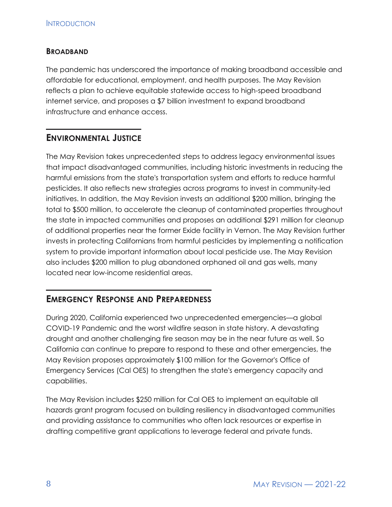#### **BROADBAND**

The pandemic has underscored the importance of making broadband accessible and affordable for educational, employment, and health purposes. The May Revision reflects a plan to achieve equitable statewide access to high-speed broadband internet service, and proposes a \$7 billion investment to expand broadband infrastructure and enhance access.

## **ENVIRONMENTAL JUSTICE**

The May Revision takes unprecedented steps to address legacy environmental issues that impact disadvantaged communities, including historic investments in reducing the harmful emissions from the state's transportation system and efforts to reduce harmful pesticides. It also reflects new strategies across programs to invest in community-led initiatives. In addition, the May Revision invests an additional \$200 million, bringing the total to \$500 million, to accelerate the cleanup of contaminated properties throughout the state in impacted communities and proposes an additional \$291 million for cleanup of additional properties near the former Exide facility in Vernon. The May Revision further invests in protecting Californians from harmful pesticides by implementing a notification system to provide important information about local pesticide use. The May Revision also includes \$200 million to plug abandoned orphaned oil and gas wells, many located near low-income residential areas.

# **EMERGENCY RESPONSE AND PREPAREDNESS**

During 2020, California experienced two unprecedented emergencies—a global COVID-19 Pandemic and the worst wildfire season in state history. A devastating drought and another challenging fire season may be in the near future as well. So California can continue to prepare to respond to these and other emergencies, the May Revision proposes approximately \$100 million for the Governor's Office of Emergency Services (Cal OES) to strengthen the state's emergency capacity and capabilities.

The May Revision includes \$250 million for Cal OES to implement an equitable all hazards grant program focused on building resiliency in disadvantaged communities and providing assistance to communities who often lack resources or expertise in drafting competitive grant applications to leverage federal and private funds.